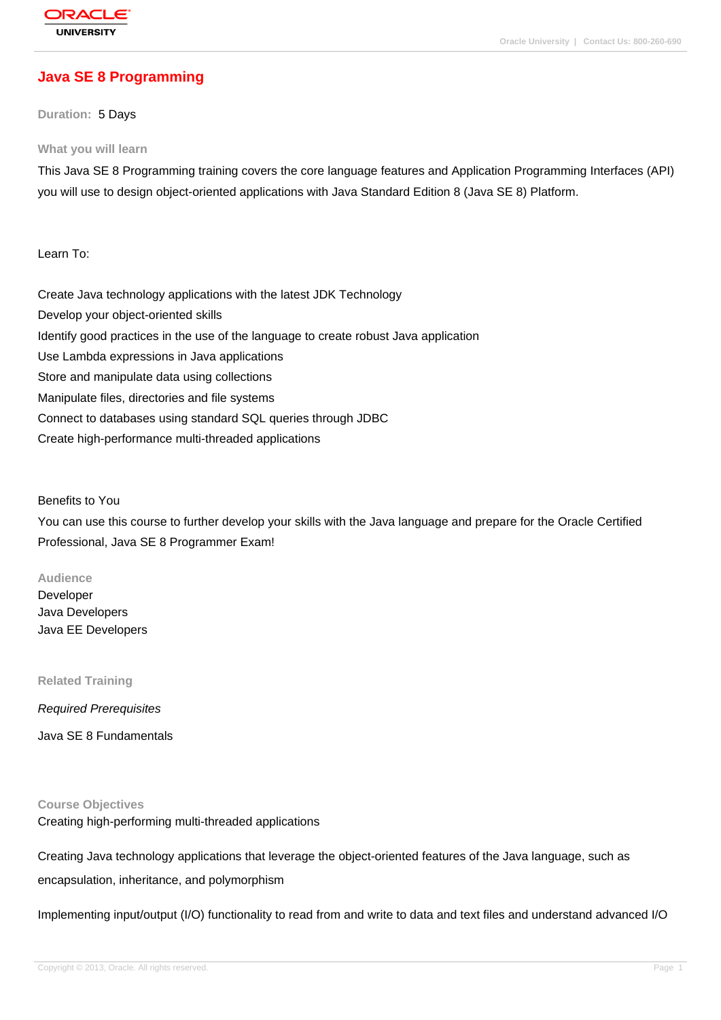# **[Java SE 8 Prog](http://education.oracle.com/pls/web_prod-plq-dad/db_pages.getpage?page_id=3)ramming**

**Duration:** 5 Days

#### **What you will learn**

This Java SE 8 Programming training covers the core language features and Application Programming Interfaces (API) you will use to design object-oriented applications with Java Standard Edition 8 (Java SE 8) Platform.

Learn To:

Create Java technology applications with the latest JDK Technology Develop your object-oriented skills Identify good practices in the use of the language to create robust Java application Use Lambda expressions in Java applications Store and manipulate data using collections Manipulate files, directories and file systems Connect to databases using standard SQL queries through JDBC Create high-performance multi-threaded applications

Benefits to You

You can use this course to further develop your skills with the Java language and prepare for the Oracle Certified Professional, Java SE 8 Programmer Exam!

#### **Audience**

Developer Java Developers Java EE Developers

**Related Training**

Required Prerequisites

Java SE 8 Fundamentals

**Course Objectives**

Creating high-performing multi-threaded applications

Creating Java technology applications that leverage the object-oriented features of the Java language, such as

encapsulation, inheritance, and polymorphism

Implementing input/output (I/O) functionality to read from and write to data and text files and understand advanced I/O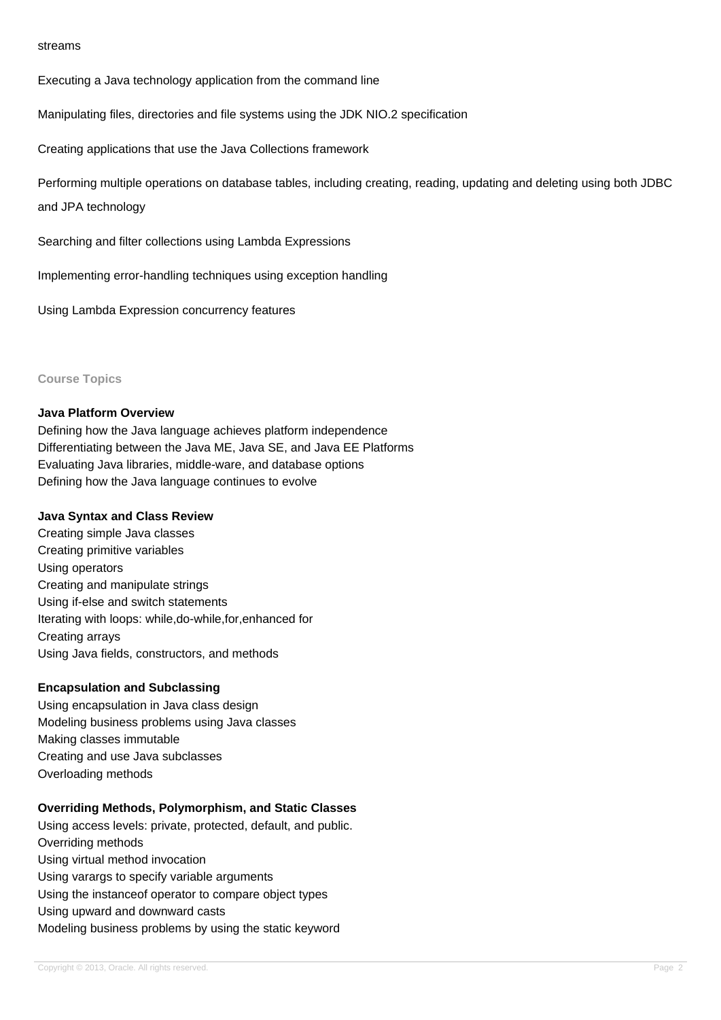#### streams

Executing a Java technology application from the command line

Manipulating files, directories and file systems using the JDK NIO.2 specification

Creating applications that use the Java Collections framework

Performing multiple operations on database tables, including creating, reading, updating and deleting using both JDBC

and JPA technology

Searching and filter collections using Lambda Expressions

Implementing error-handling techniques using exception handling

Using Lambda Expression concurrency features

### **Course Topics**

#### **Java Platform Overview**

Defining how the Java language achieves platform independence Differentiating between the Java ME, Java SE, and Java EE Platforms Evaluating Java libraries, middle-ware, and database options Defining how the Java language continues to evolve

#### **Java Syntax and Class Review**

Creating simple Java classes Creating primitive variables Using operators Creating and manipulate strings Using if-else and switch statements Iterating with loops: while,do-while,for,enhanced for Creating arrays Using Java fields, constructors, and methods

### **Encapsulation and Subclassing**

Using encapsulation in Java class design Modeling business problems using Java classes Making classes immutable Creating and use Java subclasses Overloading methods

### **Overriding Methods, Polymorphism, and Static Classes**

Using access levels: private, protected, default, and public. Overriding methods Using virtual method invocation Using varargs to specify variable arguments Using the instanceof operator to compare object types Using upward and downward casts Modeling business problems by using the static keyword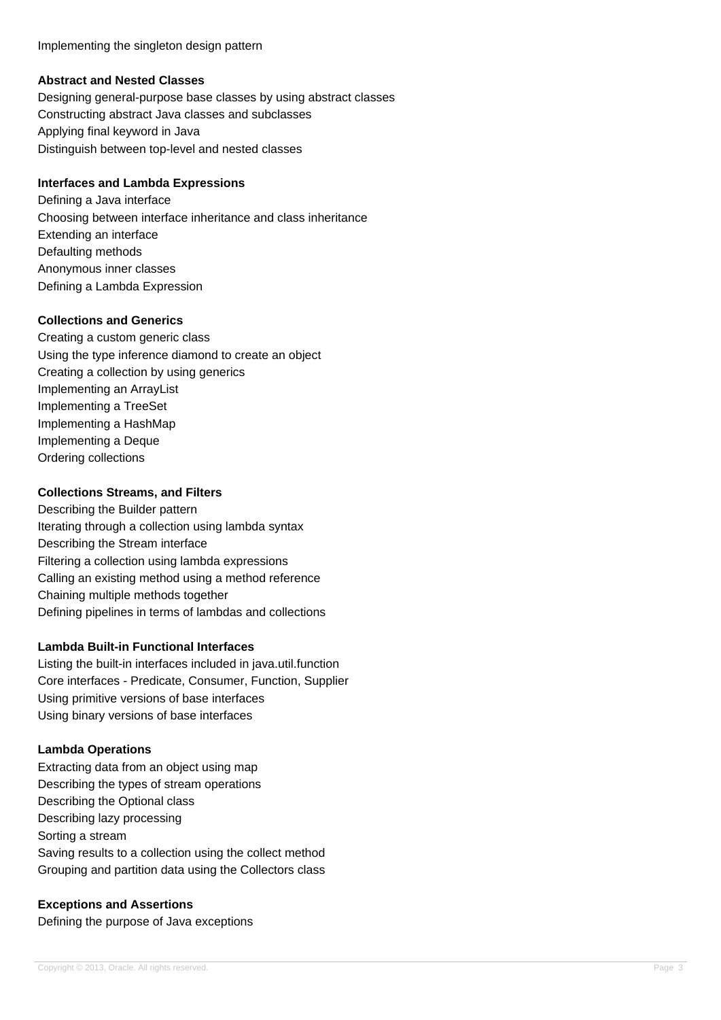Implementing the singleton design pattern

## **Abstract and Nested Classes**

Designing general-purpose base classes by using abstract classes Constructing abstract Java classes and subclasses Applying final keyword in Java Distinguish between top-level and nested classes

## **Interfaces and Lambda Expressions**

Defining a Java interface Choosing between interface inheritance and class inheritance Extending an interface Defaulting methods Anonymous inner classes Defining a Lambda Expression

## **Collections and Generics**

Creating a custom generic class Using the type inference diamond to create an object Creating a collection by using generics Implementing an ArrayList Implementing a TreeSet Implementing a HashMap Implementing a Deque Ordering collections

## **Collections Streams, and Filters**

Describing the Builder pattern Iterating through a collection using lambda syntax Describing the Stream interface Filtering a collection using lambda expressions Calling an existing method using a method reference Chaining multiple methods together Defining pipelines in terms of lambdas and collections

## **Lambda Built-in Functional Interfaces**

Listing the built-in interfaces included in java.util.function Core interfaces - Predicate, Consumer, Function, Supplier Using primitive versions of base interfaces Using binary versions of base interfaces

## **Lambda Operations**

Extracting data from an object using map Describing the types of stream operations Describing the Optional class Describing lazy processing Sorting a stream Saving results to a collection using the collect method Grouping and partition data using the Collectors class

## **Exceptions and Assertions**

Defining the purpose of Java exceptions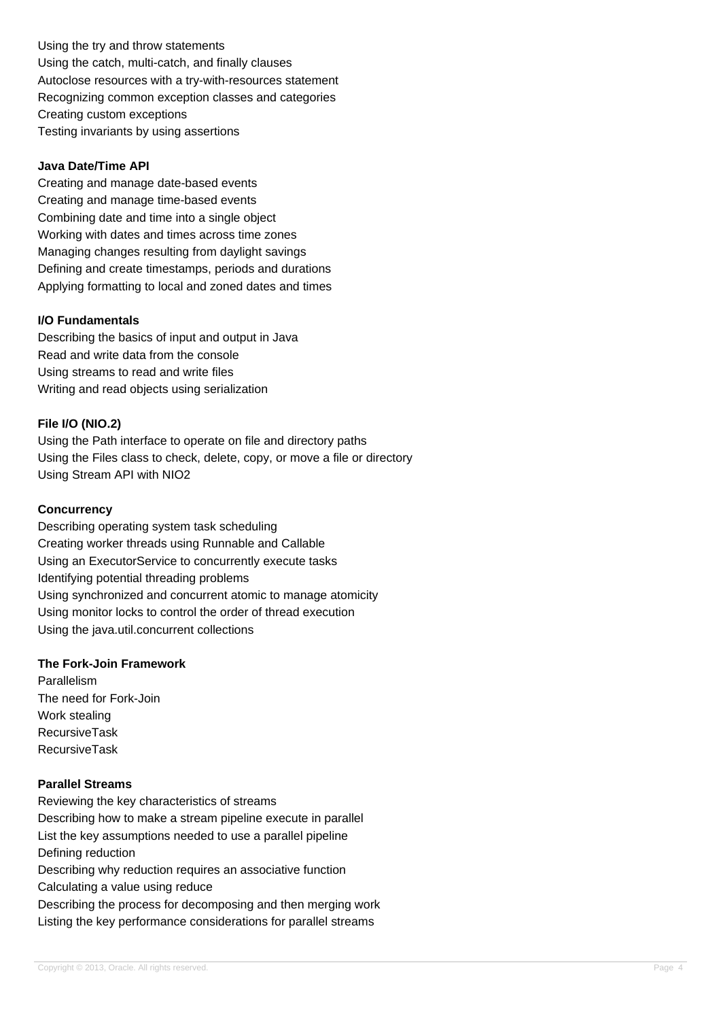Using the try and throw statements Using the catch, multi-catch, and finally clauses Autoclose resources with a try-with-resources statement Recognizing common exception classes and categories Creating custom exceptions Testing invariants by using assertions

### **Java Date/Time API**

Creating and manage date-based events Creating and manage time-based events Combining date and time into a single object Working with dates and times across time zones Managing changes resulting from daylight savings Defining and create timestamps, periods and durations Applying formatting to local and zoned dates and times

## **I/O Fundamentals**

Describing the basics of input and output in Java Read and write data from the console Using streams to read and write files Writing and read objects using serialization

## **File I/O (NIO.2)**

Using the Path interface to operate on file and directory paths Using the Files class to check, delete, copy, or move a file or directory Using Stream API with NIO2

## **Concurrency**

Describing operating system task scheduling Creating worker threads using Runnable and Callable Using an ExecutorService to concurrently execute tasks Identifying potential threading problems Using synchronized and concurrent atomic to manage atomicity Using monitor locks to control the order of thread execution Using the java.util.concurrent collections

### **The Fork-Join Framework**

Parallelism The need for Fork-Join Work stealing RecursiveTask RecursiveTask

## **Parallel Streams**

Reviewing the key characteristics of streams Describing how to make a stream pipeline execute in parallel List the key assumptions needed to use a parallel pipeline Defining reduction Describing why reduction requires an associative function Calculating a value using reduce Describing the process for decomposing and then merging work Listing the key performance considerations for parallel streams